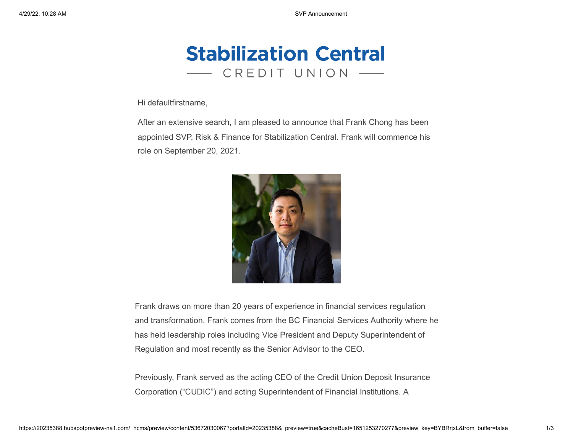

Hi defaultfirstname,

After an extensive search, I am pleased to announce that Frank Chong has been appointed SVP, Risk & Finance for Stabilization Central. Frank will commence his role on September 20, 2021.



Frank draws on more than 20 years of experience in financial services regulation and transformation. Frank comes from the BC Financial Services Authority where he has held leadership roles including Vice President and Deputy Superintendent of Regulation and most recently as the Senior Advisor to the CEO.

Previously, Frank served as the acting CEO of the Credit Union Deposit Insurance Corporation ("CUDIC") and acting Superintendent of Financial Institutions. A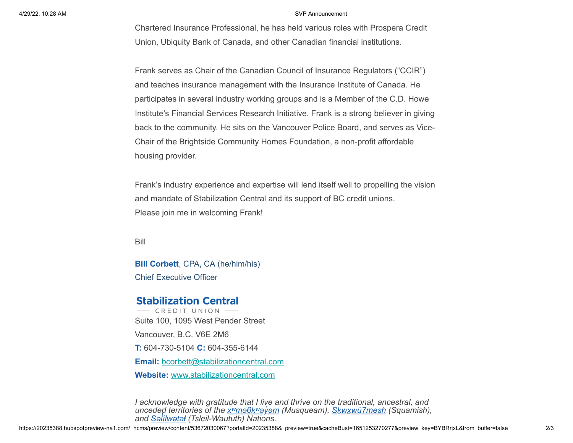## 4/29/22, 10:28 AM SVP Announcement

Chartered Insurance Professional, he has held various roles with Prospera Credit Union, Ubiquity Bank of Canada, and other Canadian financial institutions.

Frank serves as Chair of the Canadian Council of Insurance Regulators ("CCIR") and teaches insurance management with the Insurance Institute of Canada. He participates in several industry working groups and is a Member of the C.D. Howe Institute's Financial Services Research Initiative. Frank is a strong believer in giving back to the community. He sits on the Vancouver Police Board, and serves as Vice-Chair of the Brightside Community Homes Foundation, a non-profit affordable housing provider.

Frank's industry experience and expertise will lend itself well to propelling the vision and mandate of Stabilization Central and its support of BC credit unions. Please join me in welcoming Frank!

Bill

**Bill Corbett**, CPA, CA (he/him/his) Chief Executive Officer

## **Stabilization Central**

 $-$  CREDIT UNION  $-$ Suite 100, 1095 West Pender Street Vancouver, B.C. V6E 2M6 **T:** 604-730-5104 **C:** 604-355-6144 **Email:** [bcorbett@stabilizationcentral.com](mailto:bcorbett@stabilizationcentral.com) **Website:** [www.stabilizationcentral.com](http://www.stabilizationcentral.com/?utm_source=hs_email&utm_medium=email&_hsenc=p2ANqtz-9NS47MRDGBhkHAQSuRfw4rZYVdAkY5bfUAZ5Dz6h2y0Yq1BN3k-8dS8ykIVQwRR-DnBM09)

*I acknowledge with gratitude that I live and thrive on the traditional, ancestral, and unceded territories of the [xʷməθkʷəy̓əm](https://www.musqueam.bc.ca/?utm_source=hs_email&utm_medium=email&_hsenc=p2ANqtz-9NS47MRDGBhkHAQSuRfw4rZYVdAkY5bfUAZ5Dz6h2y0Yq1BN3k-8dS8ykIVQwRR-DnBM09) (Musqueam), [Sḵwx̱wú7mesh](https://www.squamish.net/?utm_source=hs_email&utm_medium=email&_hsenc=p2ANqtz-9NS47MRDGBhkHAQSuRfw4rZYVdAkY5bfUAZ5Dz6h2y0Yq1BN3k-8dS8ykIVQwRR-DnBM09) (Squamish), and [Səl̓ílwətaɬ](https://twnation.ca/?utm_source=hs_email&utm_medium=email&_hsenc=p2ANqtz-9NS47MRDGBhkHAQSuRfw4rZYVdAkY5bfUAZ5Dz6h2y0Yq1BN3k-8dS8ykIVQwRR-DnBM09) (Tsleil-Waututh) Nations.*